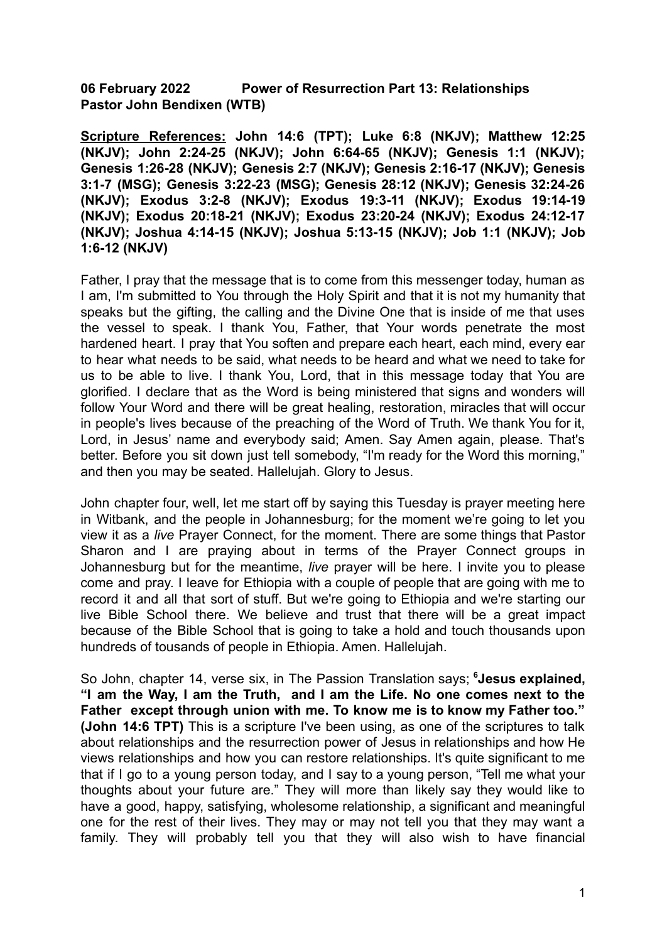**06 February 2022 Power of Resurrection Part 13: Relationships Pastor John Bendixen (WTB)**

**Scripture References: John 14:6 (TPT); Luke 6:8 (NKJV); Matthew 12:25 (NKJV); John 2:24-25 (NKJV); John 6:64-65 (NKJV); Genesis 1:1 (NKJV); Genesis 1:26-28 (NKJV); Genesis 2:7 (NKJV); Genesis 2:16-17 (NKJV); Genesis 3:1-7 (MSG); Genesis 3:22-23 (MSG); Genesis 28:12 (NKJV); Genesis 32:24-26 (NKJV); Exodus 3:2-8 (NKJV); Exodus 19:3-11 (NKJV); Exodus 19:14-19 (NKJV); Exodus 20:18-21 (NKJV); Exodus 23:20-24 (NKJV); Exodus 24:12-17 (NKJV); Joshua 4:14-15 (NKJV); Joshua 5:13-15 (NKJV); Job 1:1 (NKJV); Job 1:6-12 (NKJV)**

Father, I pray that the message that is to come from this messenger today, human as I am, I'm submitted to You through the Holy Spirit and that it is not my humanity that speaks but the gifting, the calling and the Divine One that is inside of me that uses the vessel to speak. I thank You, Father, that Your words penetrate the most hardened heart. I pray that You soften and prepare each heart, each mind, every ear to hear what needs to be said, what needs to be heard and what we need to take for us to be able to live. I thank You, Lord, that in this message today that You are glorified. I declare that as the Word is being ministered that signs and wonders will follow Your Word and there will be great healing, restoration, miracles that will occur in people's lives because of the preaching of the Word of Truth. We thank You for it, Lord, in Jesus' name and everybody said; Amen. Say Amen again, please. That's better. Before you sit down just tell somebody, "I'm ready for the Word this morning," and then you may be seated. Hallelujah. Glory to Jesus.

John chapter four, well, let me start off by saying this Tuesday is prayer meeting here in Witbank, and the people in Johannesburg; for the moment we're going to let you view it as a *live* Prayer Connect, for the moment. There are some things that Pastor Sharon and I are praying about in terms of the Prayer Connect groups in Johannesburg but for the meantime, *live* prayer will be here. I invite you to please come and pray. I leave for Ethiopia with a couple of people that are going with me to record it and all that sort of stuff. But we're going to Ethiopia and we're starting our live Bible School there. We believe and trust that there will be a great impact because of the Bible School that is going to take a hold and touch thousands upon hundreds of tousands of people in Ethiopia. Amen. Hallelujah.

So John, chapter 14, verse six, in The Passion Translation says; **<sup>6</sup>Jesus explained, "I am the Way, I am the Truth, and I am the Life. No one comes next to the Father except through union with me. To know me is to know my Father too." (John 14:6 TPT)** This is a scripture I've been using, as one of the scriptures to talk about relationships and the resurrection power of Jesus in relationships and how He views relationships and how you can restore relationships. It's quite significant to me that if I go to a young person today, and I say to a young person, "Tell me what your thoughts about your future are." They will more than likely say they would like to have a good, happy, satisfying, wholesome relationship, a significant and meaningful one for the rest of their lives. They may or may not tell you that they may want a family. They will probably tell you that they will also wish to have financial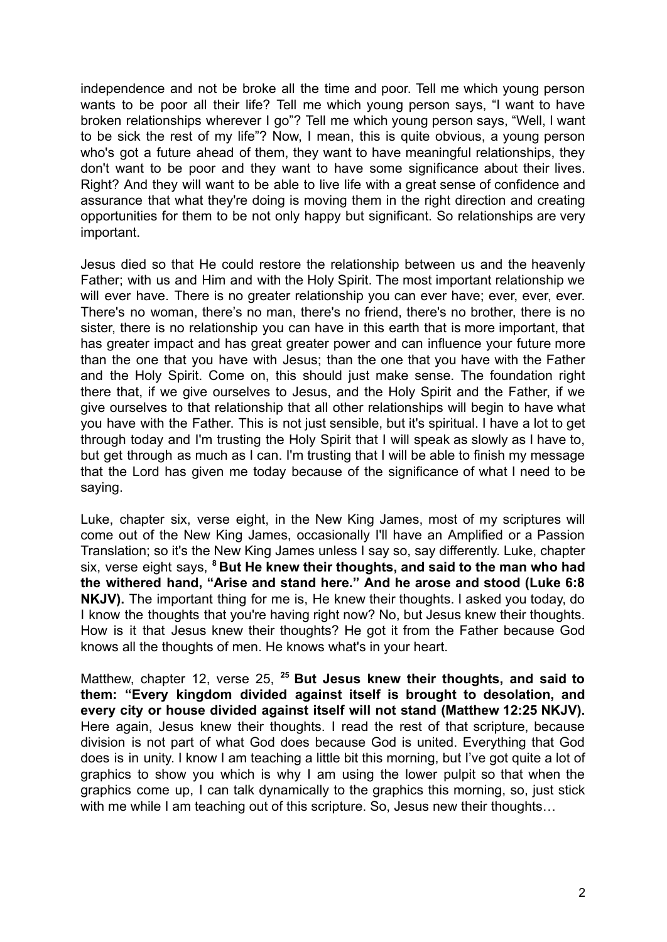independence and not be broke all the time and poor. Tell me which young person wants to be poor all their life? Tell me which young person says, "I want to have broken relationships wherever I go"? Tell me which young person says, "Well, I want to be sick the rest of my life"? Now, I mean, this is quite obvious, a young person who's got a future ahead of them, they want to have meaningful relationships, they don't want to be poor and they want to have some significance about their lives. Right? And they will want to be able to live life with a great sense of confidence and assurance that what they're doing is moving them in the right direction and creating opportunities for them to be not only happy but significant. So relationships are very important.

Jesus died so that He could restore the relationship between us and the heavenly Father; with us and Him and with the Holy Spirit. The most important relationship we will ever have. There is no greater relationship you can ever have; ever, ever, ever. There's no woman, there's no man, there's no friend, there's no brother, there is no sister, there is no relationship you can have in this earth that is more important, that has greater impact and has great greater power and can influence your future more than the one that you have with Jesus; than the one that you have with the Father and the Holy Spirit. Come on, this should just make sense. The foundation right there that, if we give ourselves to Jesus, and the Holy Spirit and the Father, if we give ourselves to that relationship that all other relationships will begin to have what you have with the Father. This is not just sensible, but it's spiritual. I have a lot to get through today and I'm trusting the Holy Spirit that I will speak as slowly as I have to, but get through as much as I can. I'm trusting that I will be able to finish my message that the Lord has given me today because of the significance of what I need to be saying.

Luke, chapter six, verse eight, in the New King James, most of my scriptures will come out of the New King James, occasionally I'll have an Amplified or a Passion Translation; so it's the New King James unless I say so, say differently. Luke, chapter six, verse eight says, **<sup>8</sup> But He knew their thoughts, and said to the man who had the withered hand, "Arise and stand here." And he arose and stood (Luke 6:8 NKJV).** The important thing for me is, He knew their thoughts. I asked you today, do I know the thoughts that you're having right now? No, but Jesus knew their thoughts. How is it that Jesus knew their thoughts? He got it from the Father because God knows all the thoughts of men. He knows what's in your heart.

Matthew, chapter 12, verse 25, **<sup>25</sup> But Jesus knew their thoughts, and said to them: "Every kingdom divided against itself is brought to desolation, and every city or house divided against itself will not stand (Matthew 12:25 NKJV).** Here again, Jesus knew their thoughts. I read the rest of that scripture, because division is not part of what God does because God is united. Everything that God does is in unity. I know I am teaching a little bit this morning, but I've got quite a lot of graphics to show you which is why I am using the lower pulpit so that when the graphics come up, I can talk dynamically to the graphics this morning, so, just stick with me while I am teaching out of this scripture. So, Jesus new their thoughts...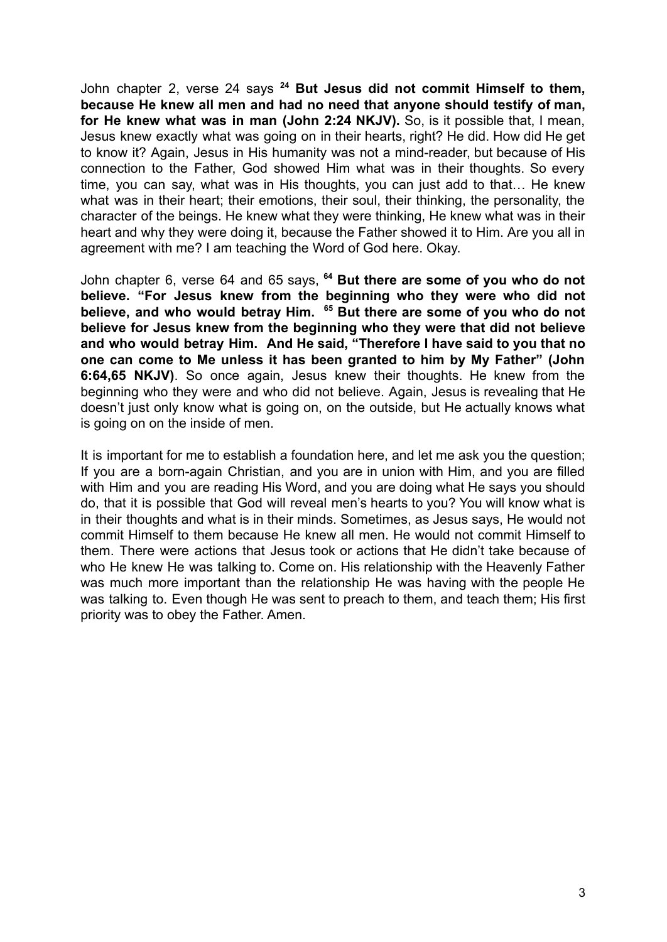John chapter 2, verse 24 says **<sup>24</sup> But Jesus did not commit Himself to them, because He knew all men and had no need that anyone should testify of man, for He knew what was in man (John 2:24 NKJV).** So, is it possible that, I mean, Jesus knew exactly what was going on in their hearts, right? He did. How did He get to know it? Again, Jesus in His humanity was not a mind-reader, but because of His connection to the Father, God showed Him what was in their thoughts. So every time, you can say, what was in His thoughts, you can just add to that… He knew what was in their heart; their emotions, their soul, their thinking, the personality, the character of the beings. He knew what they were thinking, He knew what was in their heart and why they were doing it, because the Father showed it to Him. Are you all in agreement with me? I am teaching the Word of God here. Okay.

John chapter 6, verse 64 and 65 says, **<sup>64</sup> But there are some of you who do not believe. "For Jesus knew from the beginning who they were who did not believe, and who would betray Him. <sup>65</sup> But there are some of you who do not believe for Jesus knew from the beginning who they were that did not believe and who would betray Him. And He said, "Therefore I have said to you that no one can come to Me unless it has been granted to him by My Father" (John 6:64,65 NKJV)**. So once again, Jesus knew their thoughts. He knew from the beginning who they were and who did not believe. Again, Jesus is revealing that He doesn't just only know what is going on, on the outside, but He actually knows what is going on on the inside of men.

It is important for me to establish a foundation here, and let me ask you the question; If you are a born-again Christian, and you are in union with Him, and you are filled with Him and you are reading His Word, and you are doing what He says you should do, that it is possible that God will reveal men's hearts to you? You will know what is in their thoughts and what is in their minds. Sometimes, as Jesus says, He would not commit Himself to them because He knew all men. He would not commit Himself to them. There were actions that Jesus took or actions that He didn't take because of who He knew He was talking to. Come on. His relationship with the Heavenly Father was much more important than the relationship He was having with the people He was talking to. Even though He was sent to preach to them, and teach them; His first priority was to obey the Father. Amen.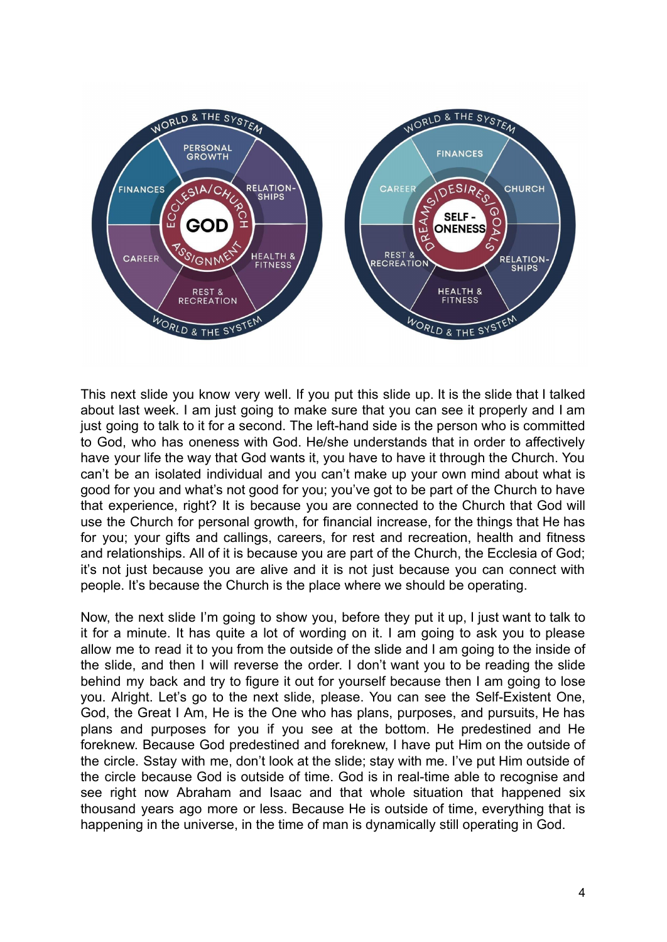

This next slide you know very well. If you put this slide up. It is the slide that I talked about last week. I am just going to make sure that you can see it properly and I am just going to talk to it for a second. The left-hand side is the person who is committed to God, who has oneness with God. He/she understands that in order to affectively have your life the way that God wants it, you have to have it through the Church. You can't be an isolated individual and you can't make up your own mind about what is good for you and what's not good for you; you've got to be part of the Church to have that experience, right? It is because you are connected to the Church that God will use the Church for personal growth, for financial increase, for the things that He has for you; your gifts and callings, careers, for rest and recreation, health and fitness and relationships. All of it is because you are part of the Church, the Ecclesia of God; it's not just because you are alive and it is not just because you can connect with people. It's because the Church is the place where we should be operating.

Now, the next slide I'm going to show you, before they put it up, I just want to talk to it for a minute. It has quite a lot of wording on it. I am going to ask you to please allow me to read it to you from the outside of the slide and I am going to the inside of the slide, and then I will reverse the order. I don't want you to be reading the slide behind my back and try to figure it out for yourself because then I am going to lose you. Alright. Let's go to the next slide, please. You can see the Self-Existent One, God, the Great I Am, He is the One who has plans, purposes, and pursuits, He has plans and purposes for you if you see at the bottom. He predestined and He foreknew. Because God predestined and foreknew, I have put Him on the outside of the circle. Sstay with me, don't look at the slide; stay with me. I've put Him outside of the circle because God is outside of time. God is in real-time able to recognise and see right now Abraham and Isaac and that whole situation that happened six thousand years ago more or less. Because He is outside of time, everything that is happening in the universe, in the time of man is dynamically still operating in God.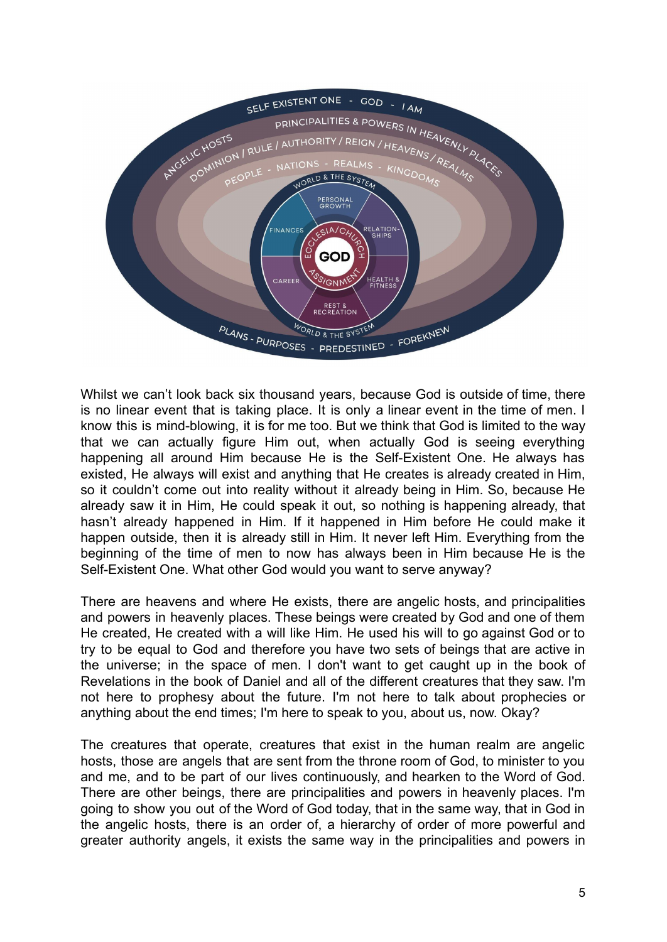

Whilst we can't look back six thousand years, because God is outside of time, there is no linear event that is taking place. It is only a linear event in the time of men. I know this is mind-blowing, it is for me too. But we think that God is limited to the way that we can actually figure Him out, when actually God is seeing everything happening all around Him because He is the Self-Existent One. He always has existed, He always will exist and anything that He creates is already created in Him, so it couldn't come out into reality without it already being in Him. So, because He already saw it in Him, He could speak it out, so nothing is happening already, that hasn't already happened in Him. If it happened in Him before He could make it happen outside, then it is already still in Him. It never left Him. Everything from the beginning of the time of men to now has always been in Him because He is the Self-Existent One. What other God would you want to serve anyway?

There are heavens and where He exists, there are angelic hosts, and principalities and powers in heavenly places. These beings were created by God and one of them He created, He created with a will like Him. He used his will to go against God or to try to be equal to God and therefore you have two sets of beings that are active in the universe; in the space of men. I don't want to get caught up in the book of Revelations in the book of Daniel and all of the different creatures that they saw. I'm not here to prophesy about the future. I'm not here to talk about prophecies or anything about the end times; I'm here to speak to you, about us, now. Okay?

The creatures that operate, creatures that exist in the human realm are angelic hosts, those are angels that are sent from the throne room of God, to minister to you and me, and to be part of our lives continuously, and hearken to the Word of God. There are other beings, there are principalities and powers in heavenly places. I'm going to show you out of the Word of God today, that in the same way, that in God in the angelic hosts, there is an order of, a hierarchy of order of more powerful and greater authority angels, it exists the same way in the principalities and powers in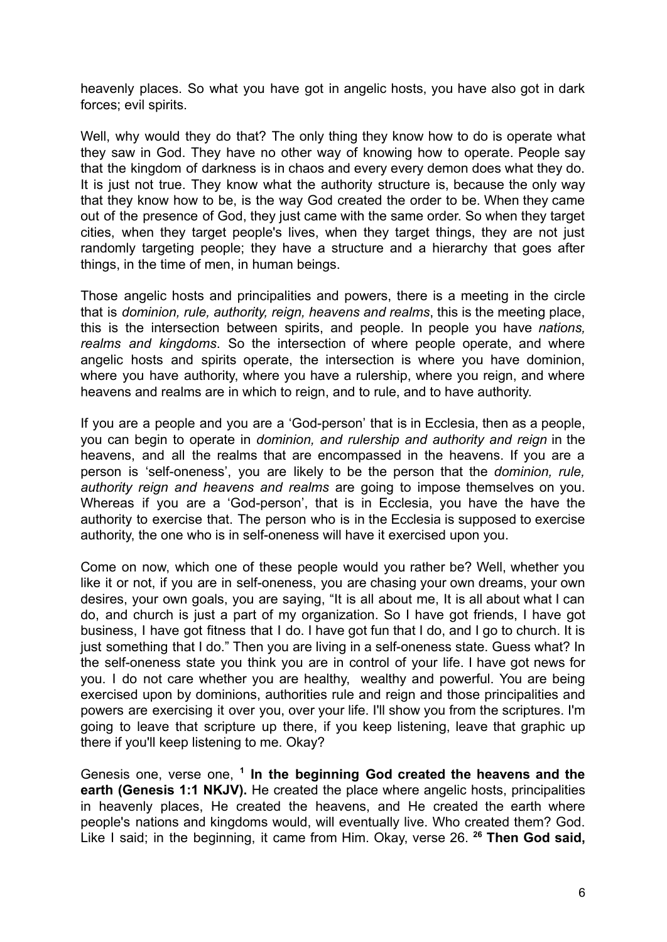heavenly places. So what you have got in angelic hosts, you have also got in dark forces; evil spirits.

Well, why would they do that? The only thing they know how to do is operate what they saw in God. They have no other way of knowing how to operate. People say that the kingdom of darkness is in chaos and every every demon does what they do. It is just not true. They know what the authority structure is, because the only way that they know how to be, is the way God created the order to be. When they came out of the presence of God, they just came with the same order. So when they target cities, when they target people's lives, when they target things, they are not just randomly targeting people; they have a structure and a hierarchy that goes after things, in the time of men, in human beings.

Those angelic hosts and principalities and powers, there is a meeting in the circle that is *dominion, rule, authority, reign, heavens and realms*, this is the meeting place, this is the intersection between spirits, and people. In people you have *nations, realms and kingdoms*. So the intersection of where people operate, and where angelic hosts and spirits operate, the intersection is where you have dominion, where you have authority, where you have a rulership, where you reign, and where heavens and realms are in which to reign, and to rule, and to have authority.

If you are a people and you are a 'God-person' that is in Ecclesia, then as a people, you can begin to operate in *dominion, and rulership and authority and reign* in the heavens, and all the realms that are encompassed in the heavens. If you are a person is 'self-oneness', you are likely to be the person that the *dominion, rule, authority reign and heavens and realms* are going to impose themselves on you. Whereas if you are a 'God-person', that is in Ecclesia, you have the have the authority to exercise that. The person who is in the Ecclesia is supposed to exercise authority, the one who is in self-oneness will have it exercised upon you.

Come on now, which one of these people would you rather be? Well, whether you like it or not, if you are in self-oneness, you are chasing your own dreams, your own desires, your own goals, you are saying, "It is all about me, It is all about what I can do, and church is just a part of my organization. So I have got friends, I have got business, I have got fitness that I do. I have got fun that I do, and I go to church. It is just something that I do." Then you are living in a self-oneness state. Guess what? In the self-oneness state you think you are in control of your life. I have got news for you. I do not care whether you are healthy, wealthy and powerful. You are being exercised upon by dominions, authorities rule and reign and those principalities and powers are exercising it over you, over your life. I'll show you from the scriptures. I'm going to leave that scripture up there, if you keep listening, leave that graphic up there if you'll keep listening to me. Okay?

Genesis one, verse one, **<sup>1</sup> In the beginning God created the heavens and the earth (Genesis 1:1 NKJV).** He created the place where angelic hosts, principalities in heavenly places, He created the heavens, and He created the earth where people's nations and kingdoms would, will eventually live. Who created them? God. Like I said; in the beginning, it came from Him. Okay, verse 26. **<sup>26</sup> Then God said,**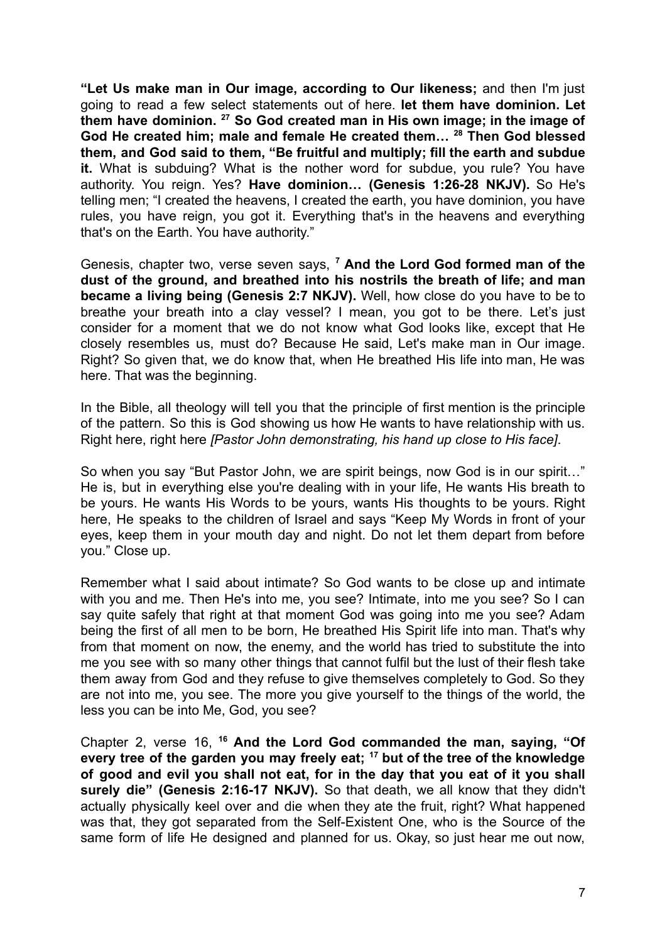**"Let Us make man in Our image, according to Our likeness;** and then I'm just going to read a few select statements out of here. **let them have dominion. Let them have dominion. <sup>27</sup> So God created man in His own image; in the image of God He created him; male and female He created them… <sup>28</sup> Then God blessed them, and God said to them, "Be fruitful and multiply; fill the earth and subdue it.** What is subduing? What is the nother word for subdue, you rule? You have authority. You reign. Yes? **Have dominion… (Genesis 1:26-28 NKJV).** So He's telling men; "I created the heavens, I created the earth, you have dominion, you have rules, you have reign, you got it. Everything that's in the heavens and everything that's on the Earth. You have authority."

Genesis, chapter two, verse seven says, **<sup>7</sup> And the Lord God formed man of the dust of the ground, and breathed into his nostrils the breath of life; and man became a living being (Genesis 2:7 NKJV).** Well, how close do you have to be to breathe your breath into a clay vessel? I mean, you got to be there. Let's just consider for a moment that we do not know what God looks like, except that He closely resembles us, must do? Because He said, Let's make man in Our image. Right? So given that, we do know that, when He breathed His life into man, He was here. That was the beginning.

In the Bible, all theology will tell you that the principle of first mention is the principle of the pattern. So this is God showing us how He wants to have relationship with us. Right here, right here *[Pastor John demonstrating, his hand up close to His face]*.

So when you say "But Pastor John, we are spirit beings, now God is in our spirit…" He is, but in everything else you're dealing with in your life, He wants His breath to be yours. He wants His Words to be yours, wants His thoughts to be yours. Right here, He speaks to the children of Israel and says "Keep My Words in front of your eyes, keep them in your mouth day and night. Do not let them depart from before you." Close up.

Remember what I said about intimate? So God wants to be close up and intimate with you and me. Then He's into me, you see? Intimate, into me you see? So I can say quite safely that right at that moment God was going into me you see? Adam being the first of all men to be born, He breathed His Spirit life into man. That's why from that moment on now, the enemy, and the world has tried to substitute the into me you see with so many other things that cannot fulfil but the lust of their flesh take them away from God and they refuse to give themselves completely to God. So they are not into me, you see. The more you give yourself to the things of the world, the less you can be into Me, God, you see?

Chapter 2, verse 16, **<sup>16</sup> And the Lord God commanded the man, saying, "Of every tree of the garden you may freely eat; <sup>17</sup> but of the tree of the knowledge of good and evil you shall not eat, for in the day that you eat of it you shall surely die" (Genesis 2:16-17 NKJV).** So that death, we all know that they didn't actually physically keel over and die when they ate the fruit, right? What happened was that, they got separated from the Self-Existent One, who is the Source of the same form of life He designed and planned for us. Okay, so just hear me out now,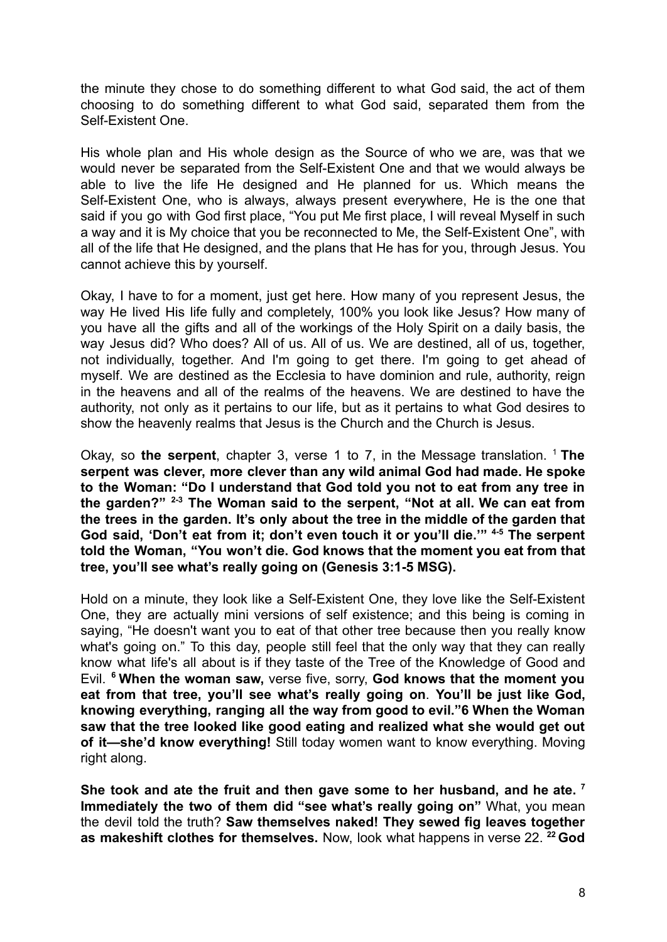the minute they chose to do something different to what God said, the act of them choosing to do something different to what God said, separated them from the Self-Existent One.

His whole plan and His whole design as the Source of who we are, was that we would never be separated from the Self-Existent One and that we would always be able to live the life He designed and He planned for us. Which means the Self-Existent One, who is always, always present everywhere, He is the one that said if you go with God first place, "You put Me first place, I will reveal Myself in such a way and it is My choice that you be reconnected to Me, the Self-Existent One", with all of the life that He designed, and the plans that He has for you, through Jesus. You cannot achieve this by yourself.

Okay, I have to for a moment, just get here. How many of you represent Jesus, the way He lived His life fully and completely, 100% you look like Jesus? How many of you have all the gifts and all of the workings of the Holy Spirit on a daily basis, the way Jesus did? Who does? All of us. All of us. We are destined, all of us, together, not individually, together. And I'm going to get there. I'm going to get ahead of myself. We are destined as the Ecclesia to have dominion and rule, authority, reign in the heavens and all of the realms of the heavens. We are destined to have the authority, not only as it pertains to our life, but as it pertains to what God desires to show the heavenly realms that Jesus is the Church and the Church is Jesus.

Okay, so **the serpent**, chapter 3, verse 1 to 7, in the Message translation. <sup>1</sup> **The serpent was clever, more clever than any wild animal God had made. He spoke to the Woman: "Do I understand that God told you not to eat from any tree in the garden?" 2-3 The Woman said to the serpent, "Not at all. We can eat from the trees in the garden. It's only about the tree in the middle of the garden that God said, 'Don't eat from it; don't even touch it or you'll die.'" 4-5 The serpent told the Woman, "You won't die. God knows that the moment you eat from that tree, you'll see what's really going on (Genesis 3:1-5 MSG).**

Hold on a minute, they look like a Self-Existent One, they love like the Self-Existent One, they are actually mini versions of self existence; and this being is coming in saying, "He doesn't want you to eat of that other tree because then you really know what's going on." To this day, people still feel that the only way that they can really know what life's all about is if they taste of the Tree of the Knowledge of Good and Evil. **<sup>6</sup> When the woman saw,** verse five, sorry, **God knows that the moment you eat from that tree, you'll see what's really going on**. **You'll be just like God, knowing everything, ranging all the way from good to evil."6 When the Woman saw that the tree looked like good eating and realized what she would get out of it—she'd know everything!** Still today women want to know everything. Moving right along.

**She took and ate the fruit and then gave some to her husband, and he ate. <sup>7</sup> Immediately the two of them did "see what's really going on"** What, you mean the devil told the truth? **Saw themselves naked! They sewed fig leaves together as makeshift clothes for themselves.** Now, look what happens in verse 22. **<sup>22</sup> God**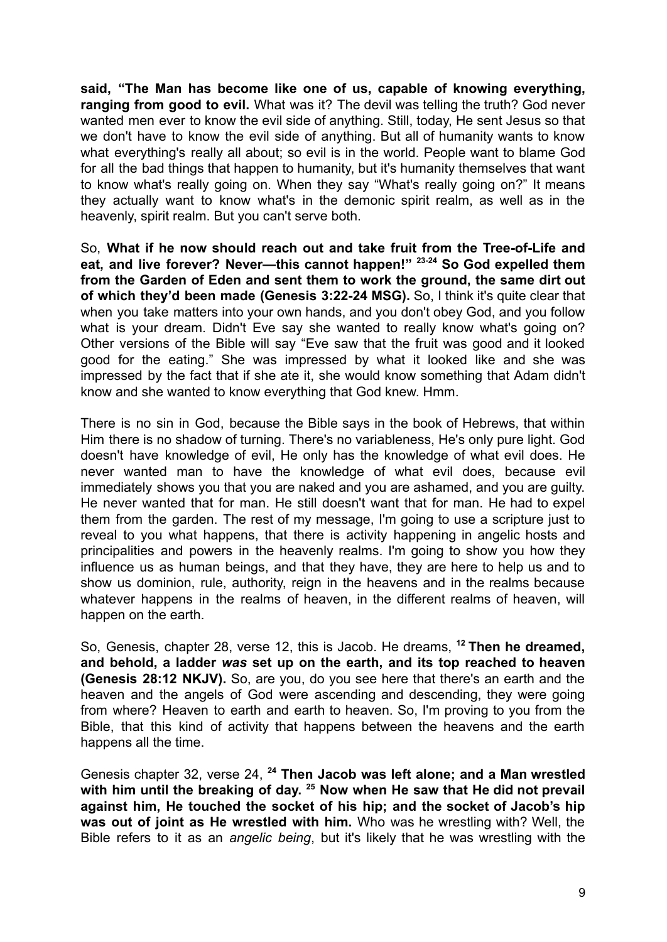**said, "The Man has become like one of us, capable of knowing everything, ranging from good to evil.** What was it? The devil was telling the truth? God never wanted men ever to know the evil side of anything. Still, today, He sent Jesus so that we don't have to know the evil side of anything. But all of humanity wants to know what everything's really all about; so evil is in the world. People want to blame God for all the bad things that happen to humanity, but it's humanity themselves that want to know what's really going on. When they say "What's really going on?" It means they actually want to know what's in the demonic spirit realm, as well as in the heavenly, spirit realm. But you can't serve both.

So, **What if he now should reach out and take fruit from the Tree-of-Life and eat, and live forever? Never—this cannot happen!" 23-24 So God expelled them from the Garden of Eden and sent them to work the ground, the same dirt out of which they'd been made (Genesis 3:22-24 MSG).** So, I think it's quite clear that when you take matters into your own hands, and you don't obey God, and you follow what is your dream. Didn't Eve say she wanted to really know what's going on? Other versions of the Bible will say "Eve saw that the fruit was good and it looked good for the eating." She was impressed by what it looked like and she was impressed by the fact that if she ate it, she would know something that Adam didn't know and she wanted to know everything that God knew. Hmm.

There is no sin in God, because the Bible says in the book of Hebrews, that within Him there is no shadow of turning. There's no variableness, He's only pure light. God doesn't have knowledge of evil, He only has the knowledge of what evil does. He never wanted man to have the knowledge of what evil does, because evil immediately shows you that you are naked and you are ashamed, and you are guilty. He never wanted that for man. He still doesn't want that for man. He had to expel them from the garden. The rest of my message, I'm going to use a scripture just to reveal to you what happens, that there is activity happening in angelic hosts and principalities and powers in the heavenly realms. I'm going to show you how they influence us as human beings, and that they have, they are here to help us and to show us dominion, rule, authority, reign in the heavens and in the realms because whatever happens in the realms of heaven, in the different realms of heaven, will happen on the earth.

So, Genesis, chapter 28, verse 12, this is Jacob. He dreams, **<sup>12</sup> Then he dreamed, and behold, a ladder** *was* **set up on the earth, and its top reached to heaven (Genesis 28:12 NKJV).** So, are you, do you see here that there's an earth and the heaven and the angels of God were ascending and descending, they were going from where? Heaven to earth and earth to heaven. So, I'm proving to you from the Bible, that this kind of activity that happens between the heavens and the earth happens all the time.

Genesis chapter 32, verse 24, **<sup>24</sup> Then Jacob was left alone; and a Man wrestled with him until the breaking of day. <sup>25</sup> Now when He saw that He did not prevail against him, He touched the socket of his hip; and the socket of Jacob's hip was out of joint as He wrestled with him.** Who was he wrestling with? Well, the Bible refers to it as an *angelic being*, but it's likely that he was wrestling with the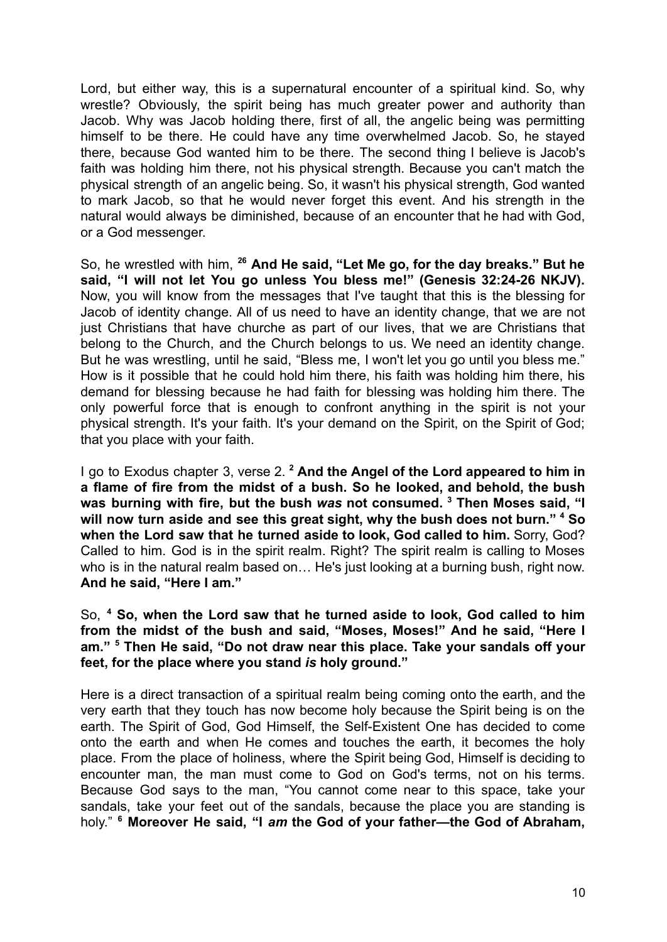Lord, but either way, this is a supernatural encounter of a spiritual kind. So, why wrestle? Obviously, the spirit being has much greater power and authority than Jacob. Why was Jacob holding there, first of all, the angelic being was permitting himself to be there. He could have any time overwhelmed Jacob. So, he stayed there, because God wanted him to be there. The second thing I believe is Jacob's faith was holding him there, not his physical strength. Because you can't match the physical strength of an angelic being. So, it wasn't his physical strength, God wanted to mark Jacob, so that he would never forget this event. And his strength in the natural would always be diminished, because of an encounter that he had with God, or a God messenger.

So, he wrestled with him, **<sup>26</sup> And He said, "Let Me go, for the day breaks." But he said, "I will not let You go unless You bless me!" (Genesis 32:24-26 NKJV).** Now, you will know from the messages that I've taught that this is the blessing for Jacob of identity change. All of us need to have an identity change, that we are not just Christians that have churche as part of our lives, that we are Christians that belong to the Church, and the Church belongs to us. We need an identity change. But he was wrestling, until he said, "Bless me, I won't let you go until you bless me." How is it possible that he could hold him there, his faith was holding him there, his demand for blessing because he had faith for blessing was holding him there. The only powerful force that is enough to confront anything in the spirit is not your physical strength. It's your faith. It's your demand on the Spirit, on the Spirit of God; that you place with your faith.

I go to Exodus chapter 3, verse 2. **<sup>2</sup> And the Angel of the Lord appeared to him in a flame of fire from the midst of a bush. So he looked, and behold, the bush was burning with fire, but the bush** *was* **not consumed. <sup>3</sup> Then Moses said, "I will now turn aside and see this great sight, why the bush does not burn." <sup>4</sup> So when the Lord saw that he turned aside to look, God called to him.** Sorry, God? Called to him. God is in the spirit realm. Right? The spirit realm is calling to Moses who is in the natural realm based on… He's just looking at a burning bush, right now. **And he said, "Here I am."**

So, **<sup>4</sup> So, when the Lord saw that he turned aside to look, God called to him from the midst of the bush and said, "Moses, Moses!" And he said, "Here I am." <sup>5</sup> Then He said, "Do not draw near this place. Take your sandals off your feet, for the place where you stand** *is* **holy ground."**

Here is a direct transaction of a spiritual realm being coming onto the earth, and the very earth that they touch has now become holy because the Spirit being is on the earth. The Spirit of God, God Himself, the Self-Existent One has decided to come onto the earth and when He comes and touches the earth, it becomes the holy place. From the place of holiness, where the Spirit being God, Himself is deciding to encounter man, the man must come to God on God's terms, not on his terms. Because God says to the man, "You cannot come near to this space, take your sandals, take your feet out of the sandals, because the place you are standing is holy." **<sup>6</sup> Moreover He said, "I** *am* **the God of your father—the God of Abraham,**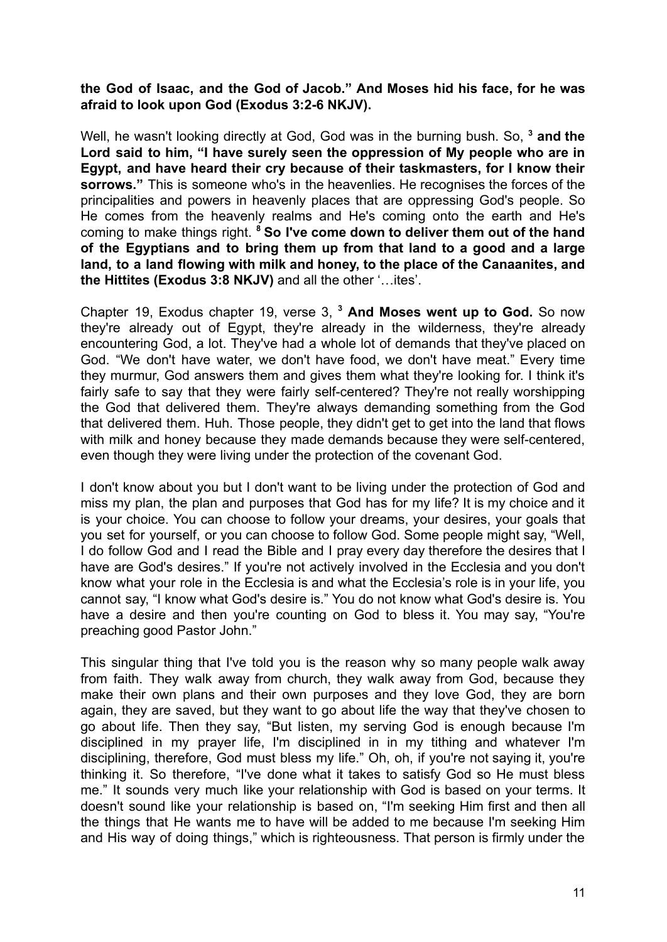## **the God of Isaac, and the God of Jacob." And Moses hid his face, for he was afraid to look upon God (Exodus 3:2-6 NKJV).**

Well, he wasn't looking directly at God, God was in the burning bush. So, **<sup>3</sup> and the Lord said to him, "I have surely seen the oppression of My people who are in Egypt, and have heard their cry because of their taskmasters, for I know their sorrows."** This is someone who's in the heavenlies. He recognises the forces of the principalities and powers in heavenly places that are oppressing God's people. So He comes from the heavenly realms and He's coming onto the earth and He's coming to make things right. **<sup>8</sup> So I've come down to deliver them out of the hand of the Egyptians and to bring them up from that land to a good and a large land, to a land flowing with milk and honey, to the place of the Canaanites, and the Hittites (Exodus 3:8 NKJV)** and all the other '…ites'.

Chapter 19, Exodus chapter 19, verse 3, **<sup>3</sup> And Moses went up to God.** So now they're already out of Egypt, they're already in the wilderness, they're already encountering God, a lot. They've had a whole lot of demands that they've placed on God. "We don't have water, we don't have food, we don't have meat." Every time they murmur, God answers them and gives them what they're looking for. I think it's fairly safe to say that they were fairly self-centered? They're not really worshipping the God that delivered them. They're always demanding something from the God that delivered them. Huh. Those people, they didn't get to get into the land that flows with milk and honey because they made demands because they were self-centered, even though they were living under the protection of the covenant God.

I don't know about you but I don't want to be living under the protection of God and miss my plan, the plan and purposes that God has for my life? It is my choice and it is your choice. You can choose to follow your dreams, your desires, your goals that you set for yourself, or you can choose to follow God. Some people might say, "Well, I do follow God and I read the Bible and I pray every day therefore the desires that I have are God's desires." If you're not actively involved in the Ecclesia and you don't know what your role in the Ecclesia is and what the Ecclesia's role is in your life, you cannot say, "I know what God's desire is." You do not know what God's desire is. You have a desire and then you're counting on God to bless it. You may say, "You're preaching good Pastor John."

This singular thing that I've told you is the reason why so many people walk away from faith. They walk away from church, they walk away from God, because they make their own plans and their own purposes and they love God, they are born again, they are saved, but they want to go about life the way that they've chosen to go about life. Then they say, "But listen, my serving God is enough because I'm disciplined in my prayer life, I'm disciplined in in my tithing and whatever I'm disciplining, therefore, God must bless my life." Oh, oh, if you're not saying it, you're thinking it. So therefore, "I've done what it takes to satisfy God so He must bless me." It sounds very much like your relationship with God is based on your terms. It doesn't sound like your relationship is based on, "I'm seeking Him first and then all the things that He wants me to have will be added to me because I'm seeking Him and His way of doing things," which is righteousness. That person is firmly under the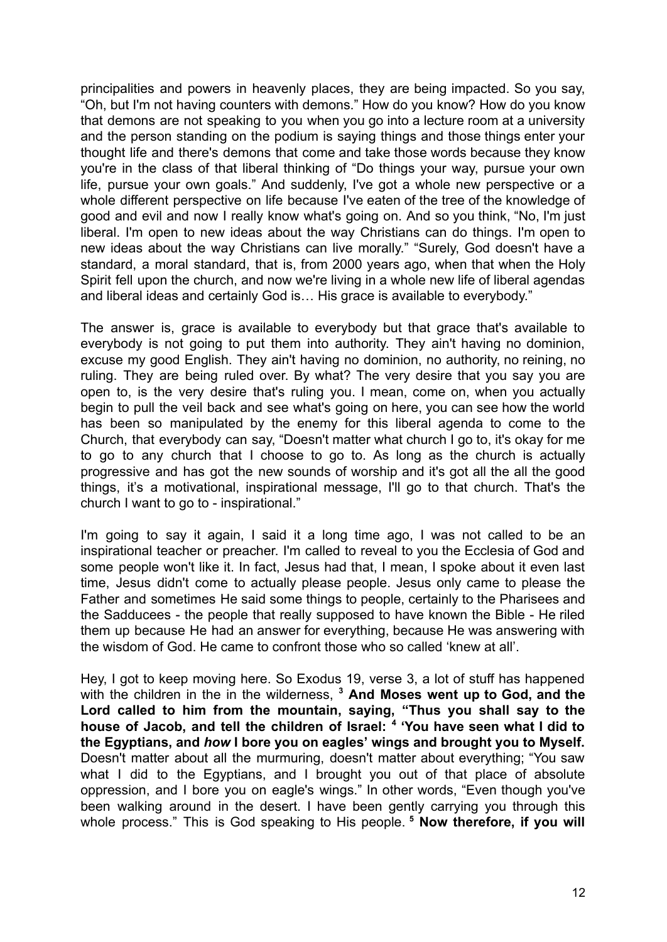principalities and powers in heavenly places, they are being impacted. So you say, "Oh, but I'm not having counters with demons." How do you know? How do you know that demons are not speaking to you when you go into a lecture room at a university and the person standing on the podium is saying things and those things enter your thought life and there's demons that come and take those words because they know you're in the class of that liberal thinking of "Do things your way, pursue your own life, pursue your own goals." And suddenly, I've got a whole new perspective or a whole different perspective on life because I've eaten of the tree of the knowledge of good and evil and now I really know what's going on. And so you think, "No, I'm just liberal. I'm open to new ideas about the way Christians can do things. I'm open to new ideas about the way Christians can live morally." "Surely, God doesn't have a standard, a moral standard, that is, from 2000 years ago, when that when the Holy Spirit fell upon the church, and now we're living in a whole new life of liberal agendas and liberal ideas and certainly God is… His grace is available to everybody."

The answer is, grace is available to everybody but that grace that's available to everybody is not going to put them into authority. They ain't having no dominion, excuse my good English. They ain't having no dominion, no authority, no reining, no ruling. They are being ruled over. By what? The very desire that you say you are open to, is the very desire that's ruling you. I mean, come on, when you actually begin to pull the veil back and see what's going on here, you can see how the world has been so manipulated by the enemy for this liberal agenda to come to the Church, that everybody can say, "Doesn't matter what church I go to, it's okay for me to go to any church that I choose to go to. As long as the church is actually progressive and has got the new sounds of worship and it's got all the all the good things, it's a motivational, inspirational message, I'll go to that church. That's the church I want to go to - inspirational."

I'm going to say it again, I said it a long time ago, I was not called to be an inspirational teacher or preacher. I'm called to reveal to you the Ecclesia of God and some people won't like it. In fact, Jesus had that, I mean, I spoke about it even last time, Jesus didn't come to actually please people. Jesus only came to please the Father and sometimes He said some things to people, certainly to the Pharisees and the Sadducees - the people that really supposed to have known the Bible - He riled them up because He had an answer for everything, because He was answering with the wisdom of God. He came to confront those who so called 'knew at all'.

Hey, I got to keep moving here. So Exodus 19, verse 3, a lot of stuff has happened with the children in the in the wilderness, **<sup>3</sup> And Moses went up to God, and the Lord called to him from the mountain, saying, "Thus you shall say to the house of Jacob, and tell the children of Israel: <sup>4</sup> 'You have seen what I did to the Egyptians, and** *how* **I bore you on eagles' wings and brought you to Myself.** Doesn't matter about all the murmuring, doesn't matter about everything; "You saw what I did to the Egyptians, and I brought you out of that place of absolute oppression, and I bore you on eagle's wings." In other words, "Even though you've been walking around in the desert. I have been gently carrying you through this whole process." This is God speaking to His people. **<sup>5</sup> Now therefore, if you will**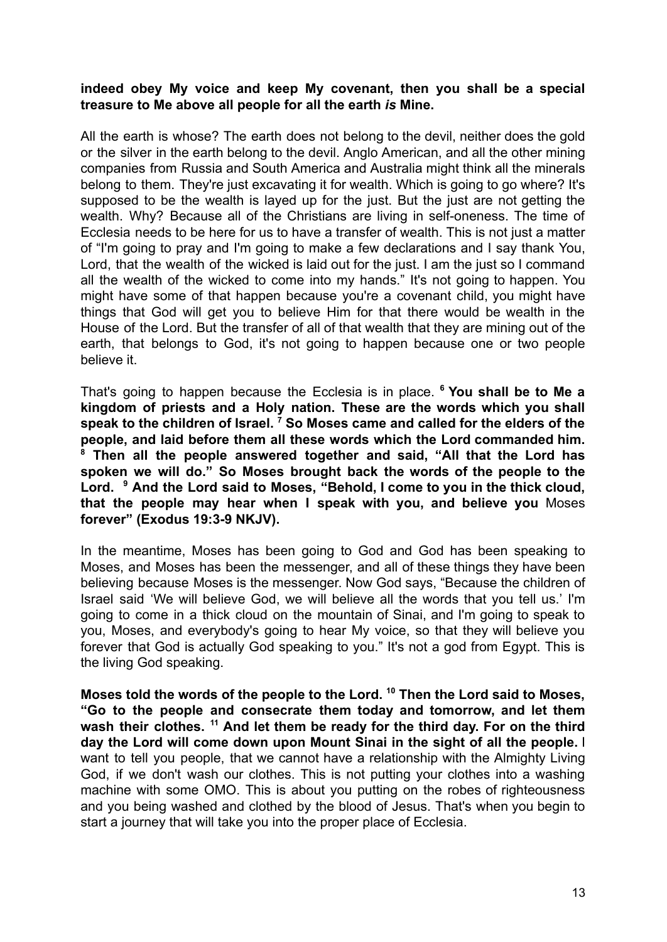## **indeed obey My voice and keep My covenant, then you shall be a special treasure to Me above all people for all the earth** *is* **Mine.**

All the earth is whose? The earth does not belong to the devil, neither does the gold or the silver in the earth belong to the devil. Anglo American, and all the other mining companies from Russia and South America and Australia might think all the minerals belong to them. They're just excavating it for wealth. Which is going to go where? It's supposed to be the wealth is layed up for the just. But the just are not getting the wealth. Why? Because all of the Christians are living in self-oneness. The time of Ecclesia needs to be here for us to have a transfer of wealth. This is not just a matter of "I'm going to pray and I'm going to make a few declarations and I say thank You, Lord, that the wealth of the wicked is laid out for the just. I am the just so I command all the wealth of the wicked to come into my hands." It's not going to happen. You might have some of that happen because you're a covenant child, you might have things that God will get you to believe Him for that there would be wealth in the House of the Lord. But the transfer of all of that wealth that they are mining out of the earth, that belongs to God, it's not going to happen because one or two people believe it.

That's going to happen because the Ecclesia is in place. **<sup>6</sup> You shall be to Me a kingdom of priests and a Holy nation. These are the words which you shall speak to the children of Israel. <sup>7</sup> So Moses came and called for the elders of the people, and laid before them all these words which the Lord commanded him. <sup>8</sup> Then all the people answered together and said, "All that the Lord has spoken we will do." So Moses brought back the words of the people to the Lord. <sup>9</sup> And the Lord said to Moses, "Behold, I come to you in the thick cloud, that the people may hear when I speak with you, and believe you** Moses **forever" (Exodus 19:3-9 NKJV).**

In the meantime, Moses has been going to God and God has been speaking to Moses, and Moses has been the messenger, and all of these things they have been believing because Moses is the messenger. Now God says, "Because the children of Israel said 'We will believe God, we will believe all the words that you tell us.' I'm going to come in a thick cloud on the mountain of Sinai, and I'm going to speak to you, Moses, and everybody's going to hear My voice, so that they will believe you forever that God is actually God speaking to you." It's not a god from Egypt. This is the living God speaking.

**Moses told the words of the people to the Lord. <sup>10</sup> Then the Lord said to Moses, "Go to the people and consecrate them today and tomorrow, and let them wash their clothes. <sup>11</sup> And let them be ready for the third day. For on the third day the Lord will come down upon Mount Sinai in the sight of all the people.** I want to tell you people, that we cannot have a relationship with the Almighty Living God, if we don't wash our clothes. This is not putting your clothes into a washing machine with some OMO. This is about you putting on the robes of righteousness and you being washed and clothed by the blood of Jesus. That's when you begin to start a journey that will take you into the proper place of Ecclesia.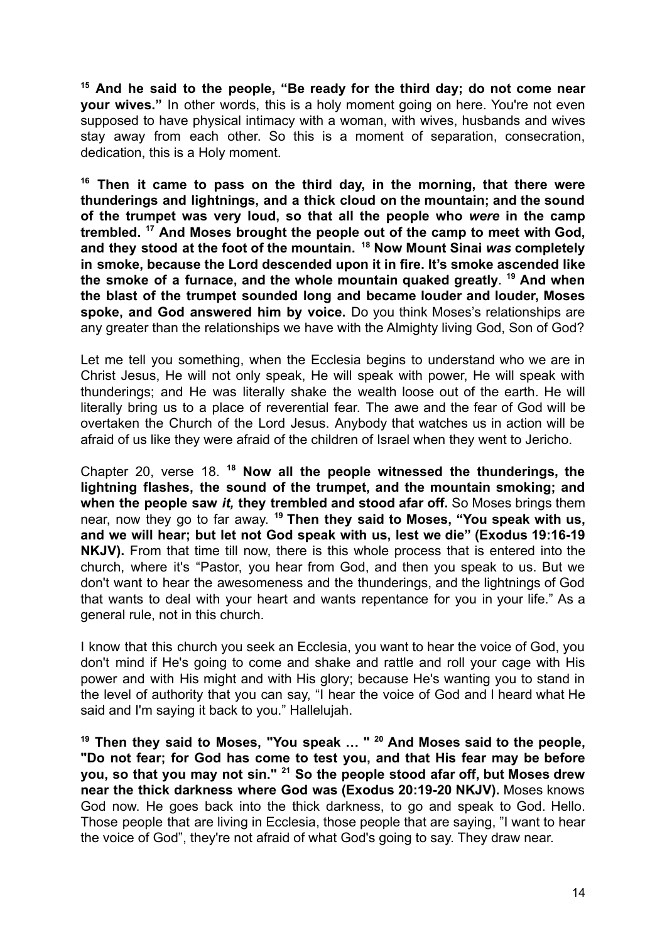**<sup>15</sup> And he said to the people, "Be ready for the third day; do not come near your wives."** In other words, this is a holy moment going on here. You're not even supposed to have physical intimacy with a woman, with wives, husbands and wives stay away from each other. So this is a moment of separation, consecration, dedication, this is a Holy moment.

**<sup>16</sup> Then it came to pass on the third day, in the morning, that there were thunderings and lightnings, and a thick cloud on the mountain; and the sound of the trumpet was very loud, so that all the people who** *were* **in the camp trembled. <sup>17</sup> And Moses brought the people out of the camp to meet with God, and they stood at the foot of the mountain. <sup>18</sup> Now Mount Sinai** *was* **completely in smoke, because the Lord descended upon it in fire. It's smoke ascended like the smoke of a furnace, and the whole mountain quaked greatly**. **<sup>19</sup> And when the blast of the trumpet sounded long and became louder and louder, Moses spoke, and God answered him by voice.** Do you think Moses's relationships are any greater than the relationships we have with the Almighty living God, Son of God?

Let me tell you something, when the Ecclesia begins to understand who we are in Christ Jesus, He will not only speak, He will speak with power, He will speak with thunderings; and He was literally shake the wealth loose out of the earth. He will literally bring us to a place of reverential fear. The awe and the fear of God will be overtaken the Church of the Lord Jesus. Anybody that watches us in action will be afraid of us like they were afraid of the children of Israel when they went to Jericho.

Chapter 20, verse 18. **<sup>18</sup> Now all the people witnessed the thunderings, the lightning flashes, the sound of the trumpet, and the mountain smoking; and when the people saw** *it,* **they trembled and stood afar off.** So Moses brings them near, now they go to far away. **<sup>19</sup> Then they said to Moses, "You speak with us, and we will hear; but let not God speak with us, lest we die" (Exodus 19:16-19 NKJV).** From that time till now, there is this whole process that is entered into the church, where it's "Pastor, you hear from God, and then you speak to us. But we don't want to hear the awesomeness and the thunderings, and the lightnings of God that wants to deal with your heart and wants repentance for you in your life." As a general rule, not in this church.

I know that this church you seek an Ecclesia, you want to hear the voice of God, you don't mind if He's going to come and shake and rattle and roll your cage with His power and with His might and with His glory; because He's wanting you to stand in the level of authority that you can say, "I hear the voice of God and I heard what He said and I'm saying it back to you." Hallelujah.

**<sup>19</sup> Then they said to Moses, "You speak … " <sup>20</sup> And Moses said to the people, "Do not fear; for God has come to test you, and that His fear may be before you, so that you may not sin." <sup>21</sup> So the people stood afar off, but Moses drew near the thick darkness where God was (Exodus 20:19-20 NKJV).** Moses knows God now. He goes back into the thick darkness, to go and speak to God. Hello. Those people that are living in Ecclesia, those people that are saying, "I want to hear the voice of God", they're not afraid of what God's going to say. They draw near.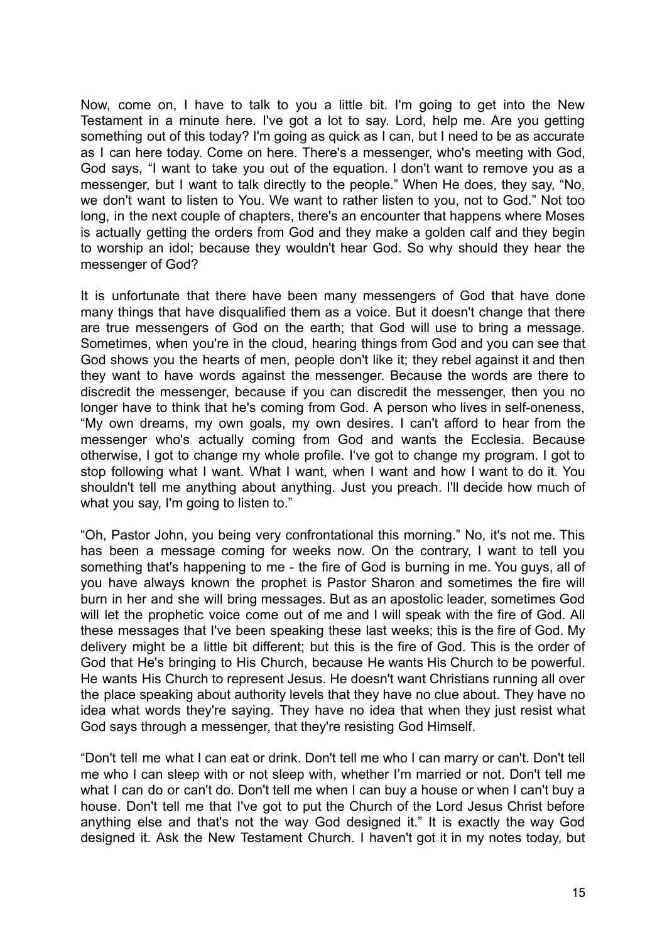Now, come on, I have to talk to you a little bit. I'm going to get into the New Testament in a minute here. I've got a lot to say. Lord, help me. Are you getting something out of this today? I'm going as quick as I can, but I need to be as accurate as I can here today. Come on here. There's a messenger, who's meeting with God, God says, "I want to take you out of the equation. I don't want to remove you as a messenger, but I want to talk directly to the people." When He does, they say, "No, we don't want to listen to You. We want to rather listen to you, not to God." Not too long, in the next couple of chapters, there's an encounter that happens where Moses is actually getting the orders from God and they make a golden calf and they begin to worship an idol; because they wouldn't hear God. So why should they hear the messenger of God?

It is unfortunate that there have been many messengers of God that have done many things that have disqualified them as a voice. But it doesn't change that there are true messengers of God on the earth; that God will use to bring a message. Sometimes, when you're in the cloud, hearing things from God and you can see that God shows you the hearts of men, people don't like it; they rebel against it and then they want to have words against the messenger. Because the words are there to discredit the messenger, because if you can discredit the messenger, then you no longer have to think that he's coming from God. A person who lives in self-oneness, "My own dreams, my own goals, my own desires. I can't afford to hear from the messenger who's actually coming from God and wants the Ecclesia. Because otherwise, I got to change my whole profile. I've got to change my program. I got to stop following what I want. What I want, when I want and how I want to do it. You shouldn't tell me anything about anything. Just you preach. I'll decide how much of what you say, I'm going to listen to."

"Oh, Pastor John, you being very confrontational this morning." No, it's not me. This has been a message coming for weeks now. On the contrary, I want to tell you something that's happening to me - the fire of God is burning in me. You guys, all of you have always known the prophet is Pastor Sharon and sometimes the fire will burn in her and she will bring messages. But as an apostolic leader, sometimes God will let the prophetic voice come out of me and I will speak with the fire of God. All these messages that I've been speaking these last weeks; this is the fire of God. My delivery might be a little bit different; but this is the fire of God. This is the order of God that He's bringing to His Church, because He wants His Church to be powerful. He wants His Church to represent Jesus. He doesn't want Christians running all over the place speaking about authority levels that they have no clue about. They have no idea what words they're saying. They have no idea that when they just resist what God says through a messenger, that they're resisting God Himself.

"Don't tell me what I can eat or drink. Don't tell me who I can marry or can't. Don't tell me who I can sleep with or not sleep with, whether I'm married or not. Don't tell me what I can do or can't do. Don't tell me when I can buy a house or when I can't buy a house. Don't tell me that I've got to put the Church of the Lord Jesus Christ before anything else and that's not the way God designed it." It is exactly the way God designed it. Ask the New Testament Church. I haven't got it in my notes today, but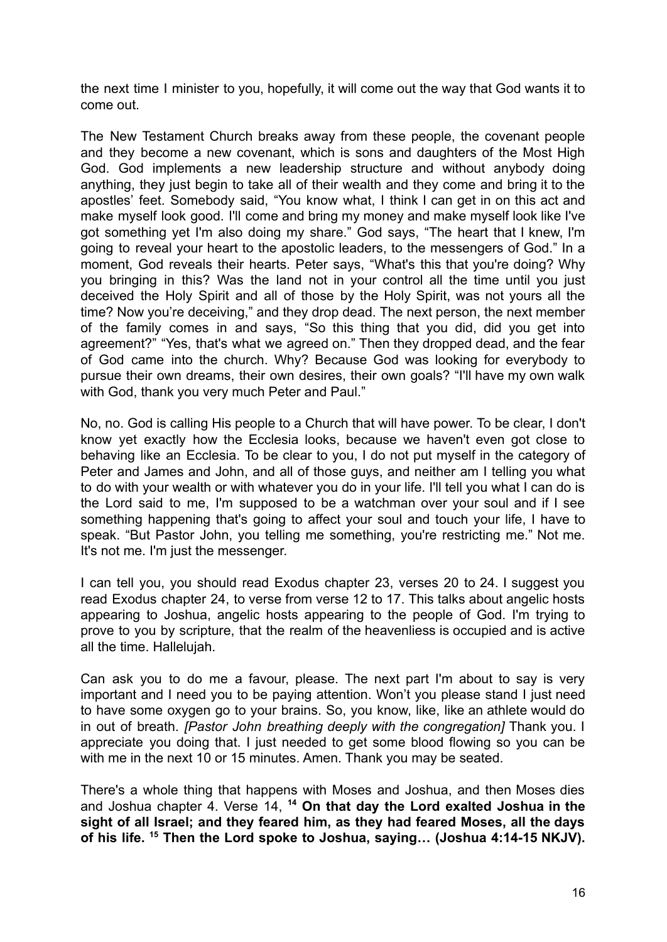the next time I minister to you, hopefully, it will come out the way that God wants it to come out.

The New Testament Church breaks away from these people, the covenant people and they become a new covenant, which is sons and daughters of the Most High God. God implements a new leadership structure and without anybody doing anything, they just begin to take all of their wealth and they come and bring it to the apostles' feet. Somebody said, "You know what, I think I can get in on this act and make myself look good. I'll come and bring my money and make myself look like I've got something yet I'm also doing my share." God says, "The heart that I knew, I'm going to reveal your heart to the apostolic leaders, to the messengers of God." In a moment, God reveals their hearts. Peter says, "What's this that you're doing? Why you bringing in this? Was the land not in your control all the time until you just deceived the Holy Spirit and all of those by the Holy Spirit, was not yours all the time? Now you're deceiving," and they drop dead. The next person, the next member of the family comes in and says, "So this thing that you did, did you get into agreement?" "Yes, that's what we agreed on." Then they dropped dead, and the fear of God came into the church. Why? Because God was looking for everybody to pursue their own dreams, their own desires, their own goals? "I'll have my own walk with God, thank you very much Peter and Paul."

No, no. God is calling His people to a Church that will have power. To be clear, I don't know yet exactly how the Ecclesia looks, because we haven't even got close to behaving like an Ecclesia. To be clear to you, I do not put myself in the category of Peter and James and John, and all of those guys, and neither am I telling you what to do with your wealth or with whatever you do in your life. I'll tell you what I can do is the Lord said to me, I'm supposed to be a watchman over your soul and if I see something happening that's going to affect your soul and touch your life, I have to speak. "But Pastor John, you telling me something, you're restricting me." Not me. It's not me. I'm just the messenger.

I can tell you, you should read Exodus chapter 23, verses 20 to 24. I suggest you read Exodus chapter 24, to verse from verse 12 to 17. This talks about angelic hosts appearing to Joshua, angelic hosts appearing to the people of God. I'm trying to prove to you by scripture, that the realm of the heavenliess is occupied and is active all the time. Hallelujah.

Can ask you to do me a favour, please. The next part I'm about to say is very important and I need you to be paying attention. Won't you please stand I just need to have some oxygen go to your brains. So, you know, like, like an athlete would do in out of breath. *[Pastor John breathing deeply with the congregation]* Thank you. I appreciate you doing that. I just needed to get some blood flowing so you can be with me in the next 10 or 15 minutes. Amen. Thank you may be seated.

There's a whole thing that happens with Moses and Joshua, and then Moses dies and Joshua chapter 4. Verse 14, **<sup>14</sup> On that day the Lord exalted Joshua in the sight of all Israel; and they feared him, as they had feared Moses, all the days of his life. <sup>15</sup> Then the Lord spoke to Joshua, saying… (Joshua 4:14-15 NKJV).**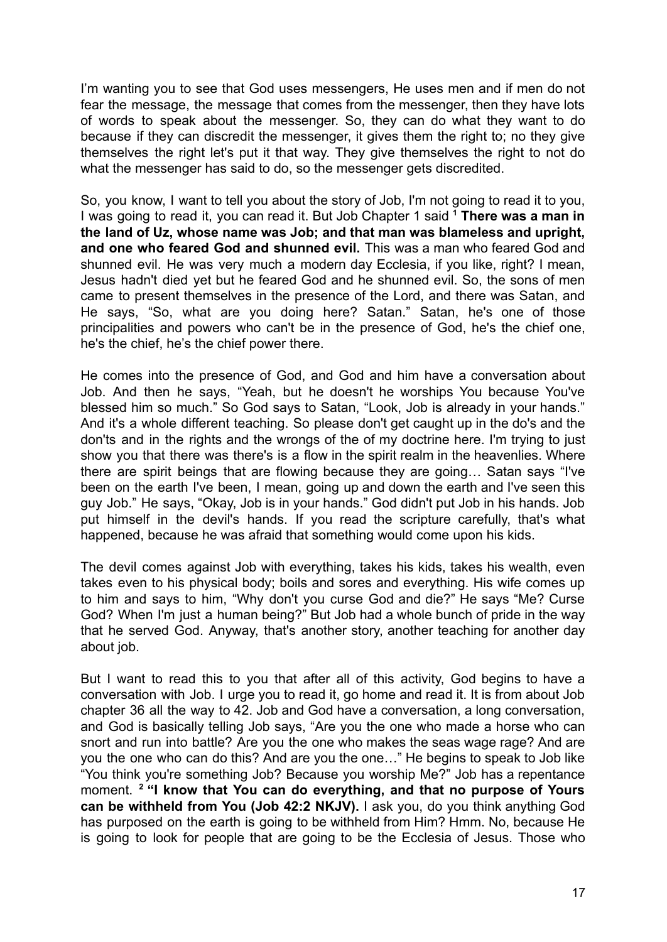I'm wanting you to see that God uses messengers, He uses men and if men do not fear the message, the message that comes from the messenger, then they have lots of words to speak about the messenger. So, they can do what they want to do because if they can discredit the messenger, it gives them the right to; no they give themselves the right let's put it that way. They give themselves the right to not do what the messenger has said to do, so the messenger gets discredited.

So, you know, I want to tell you about the story of Job, I'm not going to read it to you, I was going to read it, you can read it. But Job Chapter 1 said **<sup>1</sup> There was a man in the land of Uz, whose name was Job; and that man was blameless and upright, and one who feared God and shunned evil.** This was a man who feared God and shunned evil. He was very much a modern day Ecclesia, if you like, right? I mean, Jesus hadn't died yet but he feared God and he shunned evil. So, the sons of men came to present themselves in the presence of the Lord, and there was Satan, and He says, "So, what are you doing here? Satan." Satan, he's one of those principalities and powers who can't be in the presence of God, he's the chief one, he's the chief, he's the chief power there.

He comes into the presence of God, and God and him have a conversation about Job. And then he says, "Yeah, but he doesn't he worships You because You've blessed him so much." So God says to Satan, "Look, Job is already in your hands." And it's a whole different teaching. So please don't get caught up in the do's and the don'ts and in the rights and the wrongs of the of my doctrine here. I'm trying to just show you that there was there's is a flow in the spirit realm in the heavenlies. Where there are spirit beings that are flowing because they are going… Satan says "I've been on the earth I've been, I mean, going up and down the earth and I've seen this guy Job." He says, "Okay, Job is in your hands." God didn't put Job in his hands. Job put himself in the devil's hands. If you read the scripture carefully, that's what happened, because he was afraid that something would come upon his kids.

The devil comes against Job with everything, takes his kids, takes his wealth, even takes even to his physical body; boils and sores and everything. His wife comes up to him and says to him, "Why don't you curse God and die?" He says "Me? Curse God? When I'm just a human being?" But Job had a whole bunch of pride in the way that he served God. Anyway, that's another story, another teaching for another day about job.

But I want to read this to you that after all of this activity, God begins to have a conversation with Job. I urge you to read it, go home and read it. It is from about Job chapter 36 all the way to 42. Job and God have a conversation, a long conversation, and God is basically telling Job says, "Are you the one who made a horse who can snort and run into battle? Are you the one who makes the seas wage rage? And are you the one who can do this? And are you the one…" He begins to speak to Job like "You think you're something Job? Because you worship Me?" Job has a repentance moment. **<sup>2</sup> "I know that You can do everything, and that no purpose of Yours can be withheld from You (Job 42:2 NKJV).** I ask you, do you think anything God has purposed on the earth is going to be withheld from Him? Hmm. No, because He is going to look for people that are going to be the Ecclesia of Jesus. Those who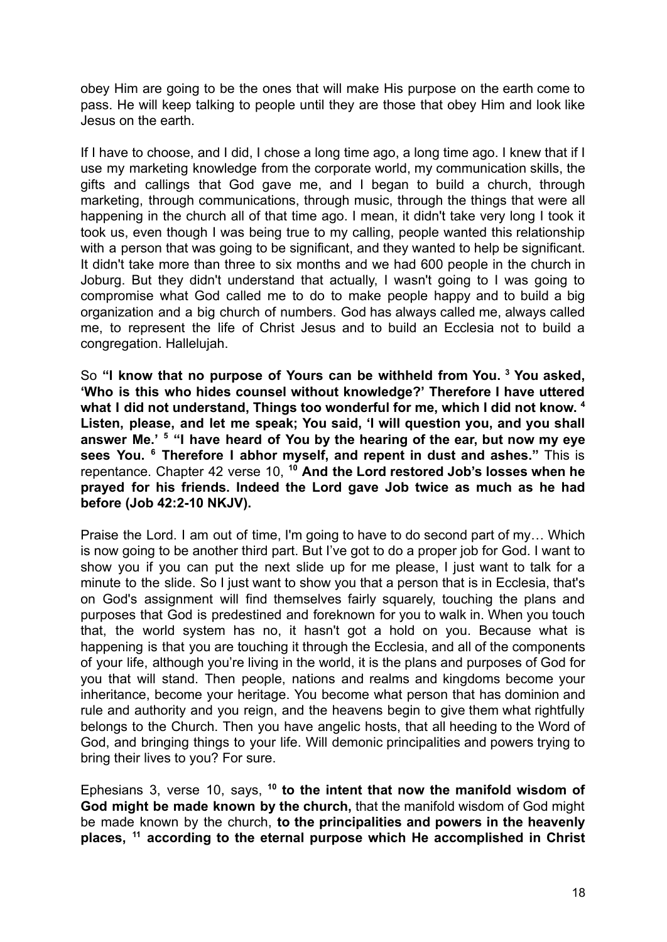obey Him are going to be the ones that will make His purpose on the earth come to pass. He will keep talking to people until they are those that obey Him and look like Jesus on the earth.

If I have to choose, and I did, I chose a long time ago, a long time ago. I knew that if I use my marketing knowledge from the corporate world, my communication skills, the gifts and callings that God gave me, and I began to build a church, through marketing, through communications, through music, through the things that were all happening in the church all of that time ago. I mean, it didn't take very long I took it took us, even though I was being true to my calling, people wanted this relationship with a person that was going to be significant, and they wanted to help be significant. It didn't take more than three to six months and we had 600 people in the church in Joburg. But they didn't understand that actually, I wasn't going to I was going to compromise what God called me to do to make people happy and to build a big organization and a big church of numbers. God has always called me, always called me, to represent the life of Christ Jesus and to build an Ecclesia not to build a congregation. Hallelujah.

So **"I know that no purpose of Yours can be withheld from You. <sup>3</sup> You asked, 'Who is this who hides counsel without knowledge?' Therefore I have uttered what I did not understand, Things too wonderful for me, which I did not know. 4 Listen, please, and let me speak; You said, 'I will question you, and you shall answer Me.' <sup>5</sup> "I have heard of You by the hearing of the ear, but now my eye sees You. <sup>6</sup> Therefore I abhor myself, and repent in dust and ashes."** This is repentance. Chapter 42 verse 10, **<sup>10</sup> And the Lord restored Job's losses when he prayed for his friends. Indeed the Lord gave Job twice as much as he had before (Job 42:2-10 NKJV).**

Praise the Lord. I am out of time, I'm going to have to do second part of my… Which is now going to be another third part. But I've got to do a proper job for God. I want to show you if you can put the next slide up for me please, I just want to talk for a minute to the slide. So I just want to show you that a person that is in Ecclesia, that's on God's assignment will find themselves fairly squarely, touching the plans and purposes that God is predestined and foreknown for you to walk in. When you touch that, the world system has no, it hasn't got a hold on you. Because what is happening is that you are touching it through the Ecclesia, and all of the components of your life, although you're living in the world, it is the plans and purposes of God for you that will stand. Then people, nations and realms and kingdoms become your inheritance, become your heritage. You become what person that has dominion and rule and authority and you reign, and the heavens begin to give them what rightfully belongs to the Church. Then you have angelic hosts, that all heeding to the Word of God, and bringing things to your life. Will demonic principalities and powers trying to bring their lives to you? For sure.

Ephesians 3, verse 10, says, **<sup>10</sup> to the intent that now the manifold wisdom of God might be made known by the church,** that the manifold wisdom of God might be made known by the church, **to the principalities and powers in the heavenly places, <sup>11</sup> according to the eternal purpose which He accomplished in Christ**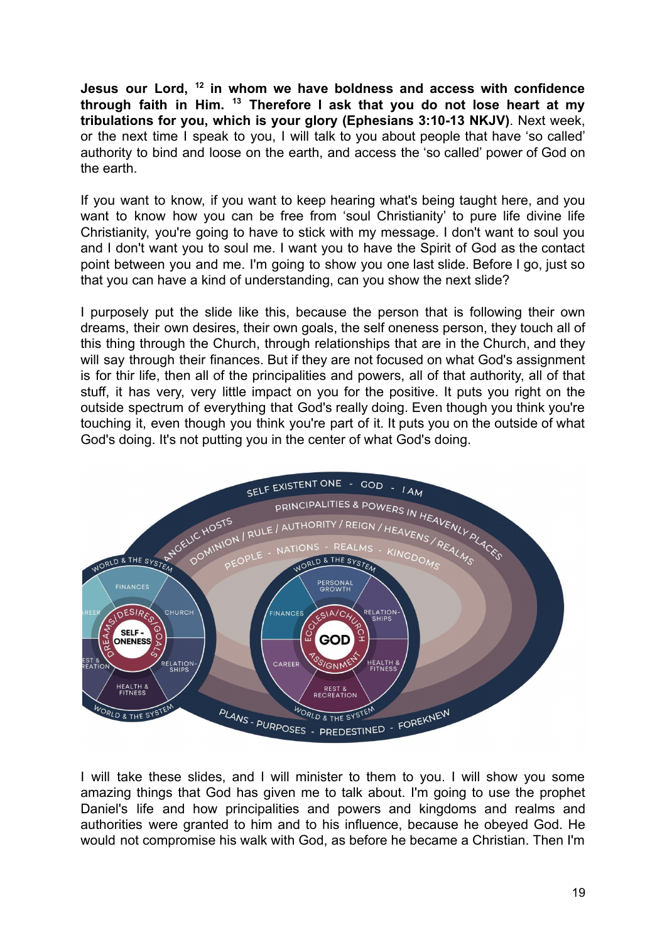**Jesus our Lord, <sup>12</sup> in whom we have boldness and access with confidence through faith in Him. <sup>13</sup> Therefore I ask that you do not lose heart at my tribulations for you, which is your glory (Ephesians 3:10-13 NKJV)**. Next week, or the next time I speak to you, I will talk to you about people that have 'so called' authority to bind and loose on the earth, and access the 'so called' power of God on the earth.

If you want to know, if you want to keep hearing what's being taught here, and you want to know how you can be free from 'soul Christianity' to pure life divine life Christianity, you're going to have to stick with my message. I don't want to soul you and I don't want you to soul me. I want you to have the Spirit of God as the contact point between you and me. I'm going to show you one last slide. Before I go, just so that you can have a kind of understanding, can you show the next slide?

I purposely put the slide like this, because the person that is following their own dreams, their own desires, their own goals, the self oneness person, they touch all of this thing through the Church, through relationships that are in the Church, and they will say through their finances. But if they are not focused on what God's assignment is for thir life, then all of the principalities and powers, all of that authority, all of that stuff, it has very, very little impact on you for the positive. It puts you right on the outside spectrum of everything that God's really doing. Even though you think you're touching it, even though you think you're part of it. It puts you on the outside of what God's doing. It's not putting you in the center of what God's doing.



I will take these slides, and I will minister to them to you. I will show you some amazing things that God has given me to talk about. I'm going to use the prophet Daniel's life and how principalities and powers and kingdoms and realms and authorities were granted to him and to his influence, because he obeyed God. He would not compromise his walk with God, as before he became a Christian. Then I'm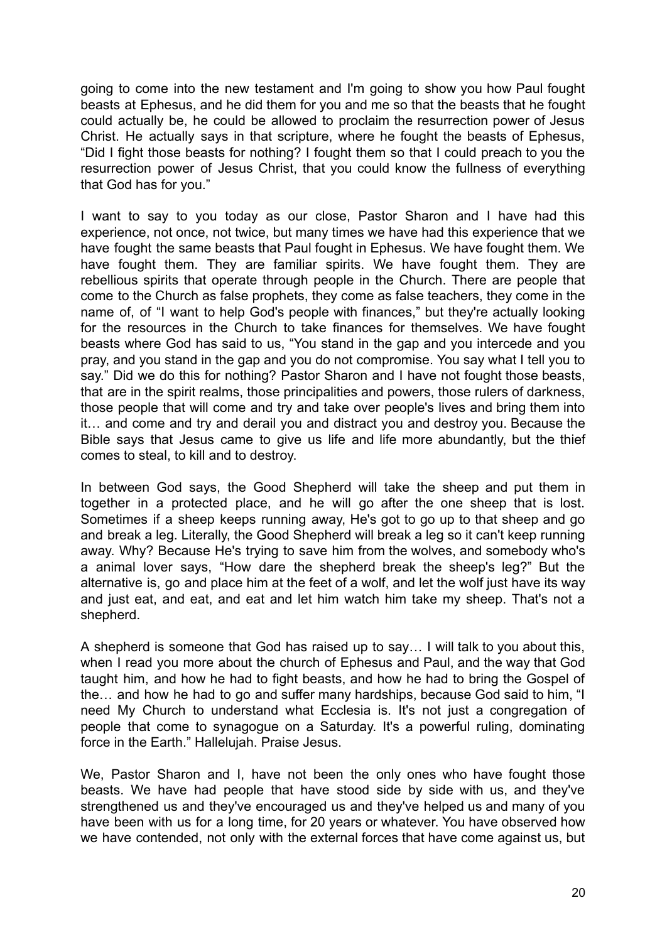going to come into the new testament and I'm going to show you how Paul fought beasts at Ephesus, and he did them for you and me so that the beasts that he fought could actually be, he could be allowed to proclaim the resurrection power of Jesus Christ. He actually says in that scripture, where he fought the beasts of Ephesus, "Did I fight those beasts for nothing? I fought them so that I could preach to you the resurrection power of Jesus Christ, that you could know the fullness of everything that God has for you."

I want to say to you today as our close, Pastor Sharon and I have had this experience, not once, not twice, but many times we have had this experience that we have fought the same beasts that Paul fought in Ephesus. We have fought them. We have fought them. They are familiar spirits. We have fought them. They are rebellious spirits that operate through people in the Church. There are people that come to the Church as false prophets, they come as false teachers, they come in the name of, of "I want to help God's people with finances," but they're actually looking for the resources in the Church to take finances for themselves. We have fought beasts where God has said to us, "You stand in the gap and you intercede and you pray, and you stand in the gap and you do not compromise. You say what I tell you to say." Did we do this for nothing? Pastor Sharon and I have not fought those beasts, that are in the spirit realms, those principalities and powers, those rulers of darkness, those people that will come and try and take over people's lives and bring them into it… and come and try and derail you and distract you and destroy you. Because the Bible says that Jesus came to give us life and life more abundantly, but the thief comes to steal, to kill and to destroy.

In between God says, the Good Shepherd will take the sheep and put them in together in a protected place, and he will go after the one sheep that is lost. Sometimes if a sheep keeps running away, He's got to go up to that sheep and go and break a leg. Literally, the Good Shepherd will break a leg so it can't keep running away. Why? Because He's trying to save him from the wolves, and somebody who's a animal lover says, "How dare the shepherd break the sheep's leg?" But the alternative is, go and place him at the feet of a wolf, and let the wolf just have its way and just eat, and eat, and eat and let him watch him take my sheep. That's not a shepherd.

A shepherd is someone that God has raised up to say… I will talk to you about this, when I read you more about the church of Ephesus and Paul, and the way that God taught him, and how he had to fight beasts, and how he had to bring the Gospel of the… and how he had to go and suffer many hardships, because God said to him, "I need My Church to understand what Ecclesia is. It's not just a congregation of people that come to synagogue on a Saturday. It's a powerful ruling, dominating force in the Earth." Hallelujah. Praise Jesus.

We, Pastor Sharon and I, have not been the only ones who have fought those beasts. We have had people that have stood side by side with us, and they've strengthened us and they've encouraged us and they've helped us and many of you have been with us for a long time, for 20 years or whatever. You have observed how we have contended, not only with the external forces that have come against us, but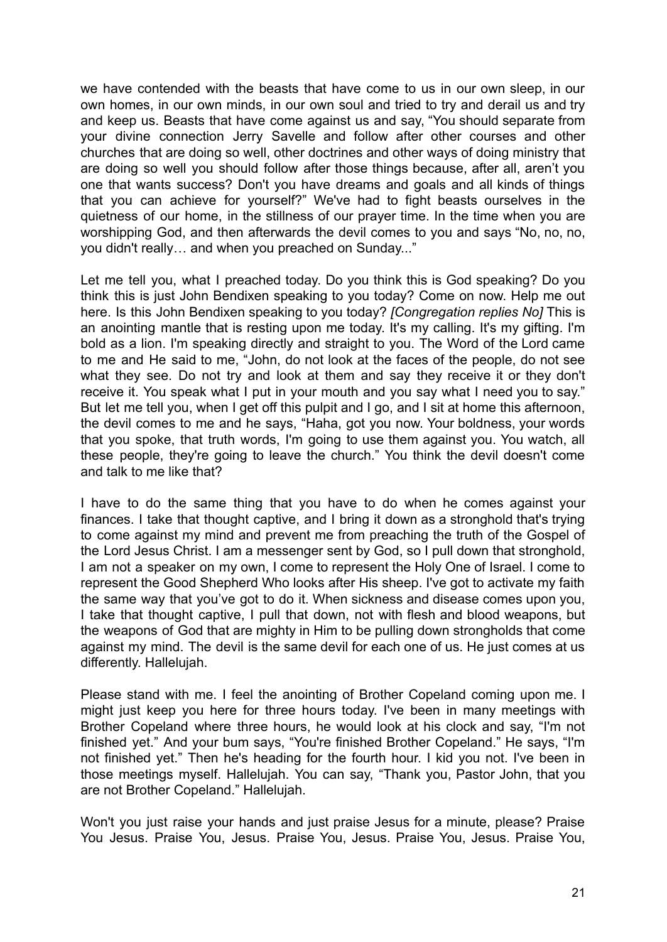we have contended with the beasts that have come to us in our own sleep, in our own homes, in our own minds, in our own soul and tried to try and derail us and try and keep us. Beasts that have come against us and say, "You should separate from your divine connection Jerry Savelle and follow after other courses and other churches that are doing so well, other doctrines and other ways of doing ministry that are doing so well you should follow after those things because, after all, aren't you one that wants success? Don't you have dreams and goals and all kinds of things that you can achieve for yourself?" We've had to fight beasts ourselves in the quietness of our home, in the stillness of our prayer time. In the time when you are worshipping God, and then afterwards the devil comes to you and says "No, no, no, you didn't really… and when you preached on Sunday..."

Let me tell you, what I preached today. Do you think this is God speaking? Do you think this is just John Bendixen speaking to you today? Come on now. Help me out here. Is this John Bendixen speaking to you today? *[Congregation replies No]* This is an anointing mantle that is resting upon me today. It's my calling. It's my gifting. I'm bold as a lion. I'm speaking directly and straight to you. The Word of the Lord came to me and He said to me, "John, do not look at the faces of the people, do not see what they see. Do not try and look at them and say they receive it or they don't receive it. You speak what I put in your mouth and you say what I need you to say." But let me tell you, when I get off this pulpit and I go, and I sit at home this afternoon, the devil comes to me and he says, "Haha, got you now. Your boldness, your words that you spoke, that truth words, I'm going to use them against you. You watch, all these people, they're going to leave the church." You think the devil doesn't come and talk to me like that?

I have to do the same thing that you have to do when he comes against your finances. I take that thought captive, and I bring it down as a stronghold that's trying to come against my mind and prevent me from preaching the truth of the Gospel of the Lord Jesus Christ. I am a messenger sent by God, so I pull down that stronghold, I am not a speaker on my own, I come to represent the Holy One of Israel. I come to represent the Good Shepherd Who looks after His sheep. I've got to activate my faith the same way that you've got to do it. When sickness and disease comes upon you, I take that thought captive, I pull that down, not with flesh and blood weapons, but the weapons of God that are mighty in Him to be pulling down strongholds that come against my mind. The devil is the same devil for each one of us. He just comes at us differently. Hallelujah.

Please stand with me. I feel the anointing of Brother Copeland coming upon me. I might just keep you here for three hours today. I've been in many meetings with Brother Copeland where three hours, he would look at his clock and say, "I'm not finished yet." And your bum says, "You're finished Brother Copeland." He says, "I'm not finished yet." Then he's heading for the fourth hour. I kid you not. I've been in those meetings myself. Hallelujah. You can say, "Thank you, Pastor John, that you are not Brother Copeland." Hallelujah.

Won't you just raise your hands and just praise Jesus for a minute, please? Praise You Jesus. Praise You, Jesus. Praise You, Jesus. Praise You, Jesus. Praise You,